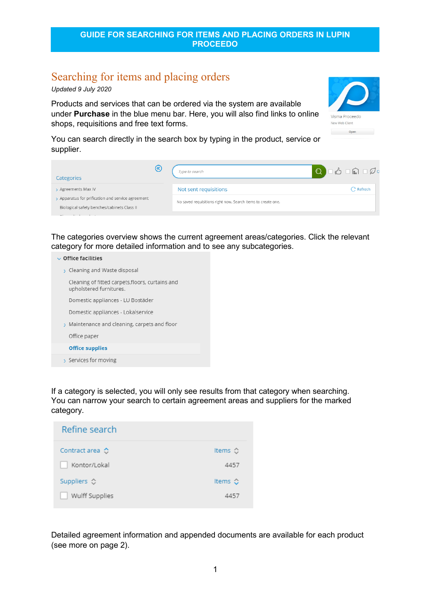# Searching for items and placing orders

*Updated 9 July 2020* 

Products and services that can be ordered via the system are available under **Purchase** in the blue menu bar. Here, you will also find links to online shops, requisitions and free text forms.



You can search directly in the search box by typing in the product, service or supplier.

| $\left( \mathrm{\%}\right)$<br>Categories         | Type to search                                               | $\begin{array}{ c c c c c }\hline \textbf{Q} & \Box \textbf{f} & \Box \textbf{f} & \Box \textbf{f} & \Box \textbf{f} & \Box \textbf{f} \\\hline \end{array}$ |
|---------------------------------------------------|--------------------------------------------------------------|--------------------------------------------------------------------------------------------------------------------------------------------------------------|
| > Agreements Max IV                               | Not sent requisitions                                        | $\mathrm C$ Refresh                                                                                                                                          |
| > Apparatus for prification and service agreement | No saved requisitions right now. Search items to create one. |                                                                                                                                                              |
| Biological safety benches/cabinets Class II       |                                                              |                                                                                                                                                              |

The categories overview shows the current agreement areas/categories. Click the relevant category for more detailed information and to see any subcategories.

| Cleaning and Waste disposal |  |  |
|-----------------------------|--|--|
|                             |  |  |

Cleaning of fitted carpets, floors, curtains and upholstered furnitures.

Domestic appliances - LU Bostäder

Domestic appliances - Lokalservice

> Maintenance and cleaning, carpets and floor

Office paper

#### **Office supplies**

Services for moving

If a category is selected, you will only see results from that category when searching. You can narrow your search to certain agreement areas and suppliers for the marked category.

| Refine search            |                         |
|--------------------------|-------------------------|
| Contract area $\Diamond$ | Items $\Leftrightarrow$ |
| Kontor/Lokal             | 4457                    |
| Suppliers ☆              | Items $\mathbb{C}$      |
| Wulff Supplies           | 4457                    |

Detailed agreement information and appended documents are available for each product (see more on page 2).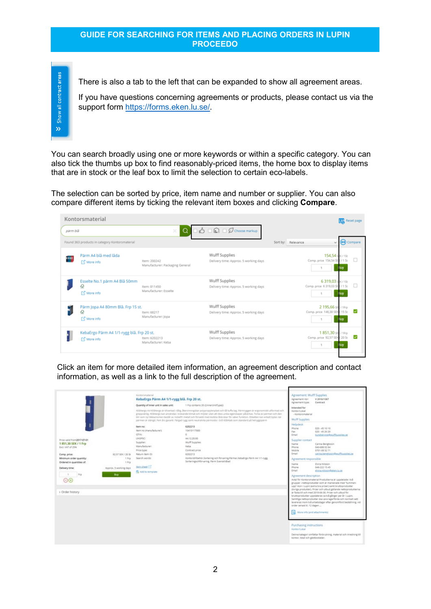Show all contract areas  $\mathbf{v}$ 

There is also a tab to the left that can be expanded to show all agreement areas.

If you have questions concerning agreements or products, please contact us via the support form [https://forms.eken.lu.se/.](https://forms.eken.lu.se/)

You can search broadly using one or more keywords or within a specific category. You can also tick the thumbs up box to find reasonably-priced items, the home box to display items that are in stock or the leaf box to limit the selection to certain eco-labels.

The selection can be sorted by price, item name and number or supplier. You can also compare different items by ticking the relevant item boxes and clicking **Compare**.



Click an item for more detailed item information, an agreement description and contact information, as well as a link to the full description of the agreement.

|                                                                                                                                                                                     |                                                                              | Kontorpmaterial<br>KebaErgo Pärm A4 1/1-rygg blå. Frp 20 st.<br>Quantity of inner unit in sales unit:                                                                            | 1 Frp contains 20 (dinnerUnitType))<br>KEBAargo A6 KEBAargo är tillverkad i tålig, återvinningsbar polypropylenplast och tål tuffa tag. Pärmryggen är ergonomiskt utformad och                                                                                                                                                                                                                                                                                                                                                                                                                                                             | Agreement: Wulff Supplies<br>Agreement nbr:<br>Agreement type:<br><b>Intended for</b><br><b>Kontroll okal</b>                                                                                                        | V 2016/1367<br>Contract                                                                                                                                                                                                                                                                                                                                                                                                                                                                                           |
|-------------------------------------------------------------------------------------------------------------------------------------------------------------------------------------|------------------------------------------------------------------------------|----------------------------------------------------------------------------------------------------------------------------------------------------------------------------------|--------------------------------------------------------------------------------------------------------------------------------------------------------------------------------------------------------------------------------------------------------------------------------------------------------------------------------------------------------------------------------------------------------------------------------------------------------------------------------------------------------------------------------------------------------------------------------------------------------------------------------------------|----------------------------------------------------------------------------------------------------------------------------------------------------------------------------------------------------------------------|-------------------------------------------------------------------------------------------------------------------------------------------------------------------------------------------------------------------------------------------------------------------------------------------------------------------------------------------------------------------------------------------------------------------------------------------------------------------------------------------------------------------|
| Price valid from 2017-07-01<br>1851,30 SEK / 1 Frp<br>Excl. VAT of 25%<br>Comp. price:<br>Minimum order quantity:<br>Ordered in quantities of:<br>Delivery time:<br>Fra<br>$(-)(+)$ | 02:57 SEK / 20 SE<br>1 Pro-<br>1 Pro<br>Approx. 5 working days<br><b>Buy</b> | item no:<br>item no (manufacturer):<br>GTIN:<br>UNSPSC:<br>Supplier:<br>Manufacturer:<br>Price type:<br>Return item (Dr.)<br>Search words:<br>tem sheet [2]<br>& Add to template | greppvärlig. KEBAergo kan användas i krävande klimat och miljöer utan att dess unika egenskaper påverkas. Torka av pårmen och den<br>blir som nyl Mekanismen består av nickelfri metall och försedd med dubbla låskrokar för säker funktion. Etiketten kan enkelt bytas när<br>parmen är stängd, Fem års garanti. Färgad rygg samt neutralvita parmsidor. Grå KEBAtab som standard på helryggsparm<br>6202213<br>10410117000<br>ö.<br>44.12.20.00<br><b>Wulff Supplies</b><br>Keba<br>Contract price<br>6202213<br>Kontorstillbehör.Sortering och förvaring Pärmar, Kebatirgo Pärm A4 1/1-rygg.<br>Sorteringochförvaring, Pärm Svenskhålad | - Köntorsmaterial<br><b>Wulff Supplies</b><br>Helpdesk<br>Phone<br>Fax<br>Frnall<br>Supplier contact<br>Näme<br>Phone<br>Mobile<br>Email<br>Agreement responsible<br>Name<br>Phone<br>Email<br>Agreement description | $020 - 451010$<br>020 - 45 20 20<br>kundservice@wwiffsuggies.se<br>Carina Bengtsson<br>040-688 02 84<br>0701-08 52 71<br>carina benetsson@wuffsupplies.se<br>Elvira Nilsson<br>046-222 15 45<br>elvira.nisson@eken.lu.se<br>Avtal för Kontorsmaterial Produkterna är uppdelade i två                                                                                                                                                                                                                              |
| > Order history                                                                                                                                                                     |                                                                              |                                                                                                                                                                                  |                                                                                                                                                                                                                                                                                                                                                                                                                                                                                                                                                                                                                                            | order senast kl. 12 dagen<br>15 More info (and attachments)<br>Purchasing instructions<br>Konton/Lokal<br>kontor, lokal och gästbostäder.                                                                            | grupper -nettoprodukter som är markerade med "tummen-<br>upp"-lkon i Lupin lextra bra priser) samt bruttpprodukter<br>(bvriga produkter). Priser och utbud gällande nettoprodukterna<br>är fasta till och med 2019-06-30. Priser och utbud för<br>bruttoprodukter uppdateras ca två gånger per år i Lupin.<br>Samtliga nettoprodukter ska vara lagerförda och normalt sett<br>levereras inom två arbetsdagar efter genomförd beställning, vid<br>Denna kategori omfattar förbrukning, material och inredning till |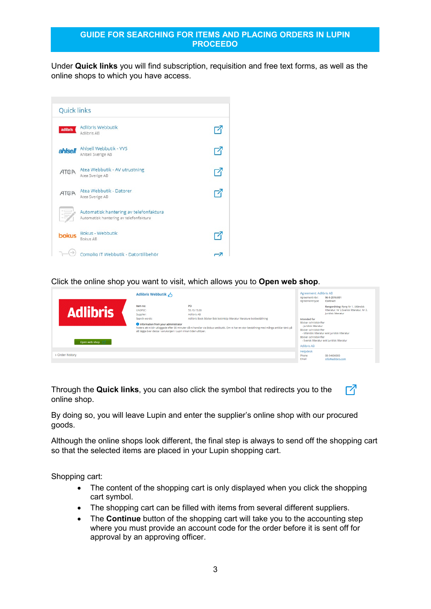Under **Quick links** you will find subscription, requisition and free text forms, as well as the online shops to which you have access.



Click the online shop you want to visit, which allows you to **Open web shop**.

|                   | Adlibris Webbutik A                                                                                                                                        |                                                                                                                                                                                                                                                        | Agreement: Adlibris AB<br>Agreement nbr:<br>Agreement type:                               | 96-9-2016:001<br>Contract                                                                                                                              |
|-------------------|------------------------------------------------------------------------------------------------------------------------------------------------------------|--------------------------------------------------------------------------------------------------------------------------------------------------------------------------------------------------------------------------------------------------------|-------------------------------------------------------------------------------------------|--------------------------------------------------------------------------------------------------------------------------------------------------------|
| <b>Adlibris</b>   | Item no:<br>UNSPSC:<br>Supplier:<br>Search words:<br>Information from your administrator<br>att lägga över dessa i varukorgen i Lupin innan tiden utlöper. | PO<br>55.10.15.00<br>Adlibris AB<br>Adlibris Book Böcker Bok bokinköp litteratur literature bokbeställning<br>Notera att ni blir utloggade efter 30 minuter då ni handlar via Bokus webbutik. Om ni har en stor beställning med många artiklar tänk på | Intended for<br>Böcker och tidskrifter<br>- Juridisk litteratur<br>Böcker och tidskrifter | Rangordning: Rang Nr 1. Utländsk<br>litteratur. Nr 2.Svensk litteratur. Nr 2.<br>Juridisk litteratur<br>- Utländsk litteratur exkl juridisk litteratur |
| Open web shop [2] |                                                                                                                                                            |                                                                                                                                                                                                                                                        | Böcker och tidskrifter<br>Adlibris AB                                                     | - Svensk litteratur exkl juridisk litteratur                                                                                                           |
| > Order history   |                                                                                                                                                            |                                                                                                                                                                                                                                                        | Helpdesk<br>Phone<br>Email                                                                | 08-54606000<br>info@adlibris.com                                                                                                                       |

Through the **Quick links**, you can also click the symbol that redirects you to the online shop.

By doing so, you will leave Lupin and enter the supplier's online shop with our procured goods.

Although the online shops look different, the final step is always to send off the shopping cart so that the selected items are placed in your Lupin shopping cart.

内

Shopping cart:

- The content of the shopping cart is only displayed when you click the shopping cart symbol.
- The shopping cart can be filled with items from several different suppliers.
- The **Continue** button of the shopping cart will take you to the accounting step where you must provide an account code for the order before it is sent off for approval by an approving officer.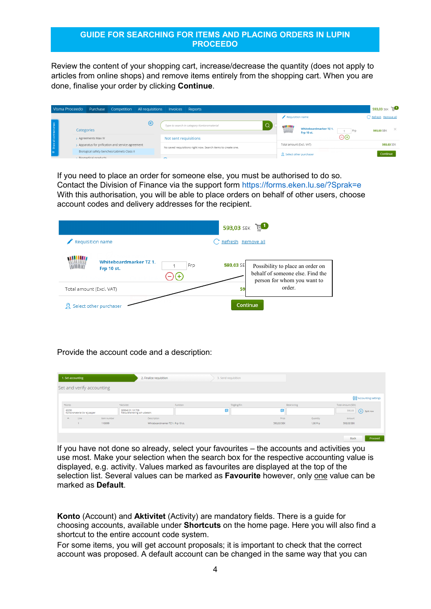Review the content of your shopping cart, increase/decrease the quantity (does not apply to articles from online shops) and remove items entirely from the shopping cart. When you are done, finalise your order by clicking **Continue**.

| Visma Proceedo          | Purchase            |                                                 | Competition   All requisitions   Invoices |                       | Reports                                                      |  |                          |                                      |     | 593,03 SEK             |
|-------------------------|---------------------|-------------------------------------------------|-------------------------------------------|-----------------------|--------------------------------------------------------------|--|--------------------------|--------------------------------------|-----|------------------------|
|                         |                     |                                                 |                                           |                       |                                                              |  | Requisition name         |                                      |     | C Refresh Remove all   |
| Show all contract areas | Categories          |                                                 | $(\kappa)$                                |                       | Type to search in category Kontorsmaterial                   |  | William                  | Whiteboardmarker TZ 1.<br>Frp 10 st. | Frp | $\times$<br>593.03 SEK |
|                         | > Agreements Max IV |                                                 |                                           | Not sent requisitions |                                                              |  |                          |                                      | AA  |                        |
|                         |                     | Apparatus for prification and service agreement |                                           |                       | No saved requisitions right now. Search items to create one. |  | Total amount (Excl. VAT) |                                      |     | 593.03 SEK             |
| $\gg$                   |                     | Biological safety benches/cabinets Class II     |                                           |                       |                                                              |  |                          | St Select other purchaser            |     | Continue               |
|                         | Riomedical products |                                                 |                                           |                       |                                                              |  |                          |                                      |     |                        |

If you need to place an order for someone else, you must be authorised to do so. Contact the Division of Finance via the support form <https://forms.eken.lu.se/?Sprak=e> With this authorisation, you will be able to place orders on behalf of other users, choose account codes and delivery addresses for the recipient.

|                          |                                                           | $E_{\rm B}$<br>593,03 SEK                                                                                        |  |
|--------------------------|-----------------------------------------------------------|------------------------------------------------------------------------------------------------------------------|--|
|                          | Requisition name                                          | Refresh Remove all                                                                                               |  |
| Ш                        | <b>Whiteboardmarker TZ 1.</b><br>Frp<br><b>Frp 10 st.</b> | 593,03 SE<br>Possibility to place an order on<br>behalf of someone else. Find the<br>person for whom you want to |  |
| Total amount (Excl. VAT) |                                                           | order.<br>59                                                                                                     |  |
|                          | Select other purchaser                                    | Continue                                                                                                         |  |

Provide the account code and a description:

| 1. Set accounting                      |                           | 2. Finalize requisition                            |          | 3. Send requisition |              |            |                 |                    |                         |
|----------------------------------------|---------------------------|----------------------------------------------------|----------|---------------------|--------------|------------|-----------------|--------------------|-------------------------|
|                                        | Set and verify accounting |                                                    |          |                     |              |            |                 |                    |                         |
|                                        |                           |                                                    |          |                     |              |            |                 |                    | Accounting settings     |
| *Konto                                 |                           | *Aktivitet                                         | Funktion |                     | Tillgång/Fin |            | Beskrivning     | Total Amount (SEK) |                         |
| 63290<br>Kontorsmaterial övr ej papper |                           | 809940.91.101709<br>Fakturahantering och utbetaln. |          | 囩                   |              | 囩          |                 | 593,03             | $\circled{ }$ Split row |
| $\wedge$<br>Line                       | Item number               | Description                                        |          |                     |              | Price      | <b>Quantity</b> | Amount             |                         |
|                                        | 110099                    | Whiteboardmarker TZ 1. Frp 10 st.                  |          |                     |              | 593,03 SEK | 1,00 Frp        | 593,03 SEK         |                         |
|                                        |                           |                                                    |          |                     |              |            |                 |                    |                         |
|                                        |                           |                                                    |          |                     |              |            |                 | Back               | Proceed                 |

If you have not done so already, select your favourites – the accounts and activities you use most. Make your selection when the search box for the respective accounting value is displayed, e.g. activity. Values marked as favourites are displayed at the top of the selection list. Several values can be marked as **Favourite** however, only one value can be marked as **Default**.

**Konto** (Account) and **Aktivitet** (Activity) are mandatory fields. There is a guide for choosing accounts, available under **Shortcuts** on the home page. Here you will also find a shortcut to the entire account code system.

For some items, you will get account proposals; it is important to check that the correct account was proposed. A default account can be changed in the same way that you can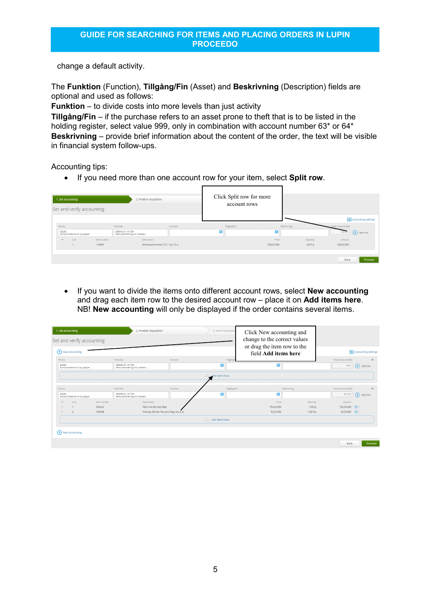change a default activity.

The **Funktion** (Function), **Tillgång/Fin** (Asset) and **Beskrivning** (Description) fields are optional and used as follows:

**Funktion** – to divide costs into more levels than just activity

**Tillgång/Fin** – if the purchase refers to an asset prone to theft that is to be listed in the holding register, select value 999, only in combination with account number 63<sup>\*</sup> or 64<sup>\*</sup> **Beskrivning** – provide brief information about the content of the order, the text will be visible in financial system follow-ups.

Accounting tips:

• If you need more than one account row for your item, select **Split row**.

| 1. Set accounting | Set and verify accounting     |             | 2. Finalize requisition                            |          |              | Click Split row for more<br>account rows |                 |                    |                      |
|-------------------|-------------------------------|-------------|----------------------------------------------------|----------|--------------|------------------------------------------|-----------------|--------------------|----------------------|
| *Konto            |                               |             | *Aktivitet                                         | Funktion | Tillgång/Fin |                                          | Beskrivning     | Total Amount (SEK) | Accounting settings  |
| 63290             | Kontorsmaterial övr ej papper |             | 809940.91.101709<br>Fakturahantering och utbetaln. |          | 囩            | 囩                                        |                 | 593,03             | $\epsilon$ Split row |
| $\wedge$          | Line                          | Item number | Description                                        |          |              | Price                                    | <b>Quantity</b> | Amount             |                      |
|                   |                               | 110099      | Whiteboardmarker TZ 1. Frp 10 st.                  |          |              | 593,03 SEK                               | 1,00 Frp        | 593,03 SEK         |                      |
|                   |                               |             |                                                    |          |              |                                          |                 | <b>Back</b>        | Proceed              |

• If you want to divide the items onto different account rows, select **New accounting** and drag each item row to the desired account row – place it on **Add items here**. NB! **New accounting** will only be displayed if the order contains several items.

| 1. Set accounting<br>Set and verify accounting<br>(+) New Accounting |             | 2. Finalize requisition                            |          | 3. Send requisition         | Click New accounting and<br>change to the correct values<br>or drag the item row to the<br>field Add items here |             | 4 Accounting settings |                       |
|----------------------------------------------------------------------|-------------|----------------------------------------------------|----------|-----------------------------|-----------------------------------------------------------------------------------------------------------------|-------------|-----------------------|-----------------------|
| *Konto                                                               | *Aktivitet  |                                                    | Funktion | Tillgång                    |                                                                                                                 |             | Total Amount (SEK)    | $\times$              |
| 63290<br>Kontorsmaterial övr ej papper                               |             | 809940.91.101709<br>Fakturahantering och utbetaln. |          | 局                           | 局                                                                                                               |             | 0,00                  | $(\div)$<br>Split row |
|                                                                      |             |                                                    |          | Add items here              |                                                                                                                 |             |                       |                       |
| *Konto                                                               | *Aktivitet  |                                                    | Funktion | Tillgång/Fin                |                                                                                                                 | Beskrivning | Total Amount (SEK)    | $\times$              |
| 63290<br>Kontorsmaterial övr ej papper                               |             | 809940.91.101709<br>Fakturahantering och utbetaln. |          | 鬲                           | 鬲                                                                                                               |             | 207,79                | $(\div)$ Split row    |
| Line                                                                 | Item number | Description                                        |          |                             | Price                                                                                                           | Quantity    | Amount                |                       |
|                                                                      | 200242      | Pärm A4 blå med låda                               |          |                             | 154.54 SEK                                                                                                      | 1.00 St     | 154.54 SEK (1)        |                       |
|                                                                      | 16350B      | Friendly Marker Round 4 färg. Frp 4 st.            |          |                             | 53.25 SEK                                                                                                       | 1.00 Fro    | 53.25 SEK (1)         |                       |
|                                                                      |             |                                                    |          | $\uparrow$ . Add items here |                                                                                                                 |             |                       |                       |
|                                                                      |             |                                                    |          |                             |                                                                                                                 |             |                       |                       |
| $(+)$ New Accounting                                                 |             |                                                    |          |                             |                                                                                                                 |             |                       |                       |
|                                                                      |             |                                                    |          |                             |                                                                                                                 |             | <b>Back</b>           | Proceed               |